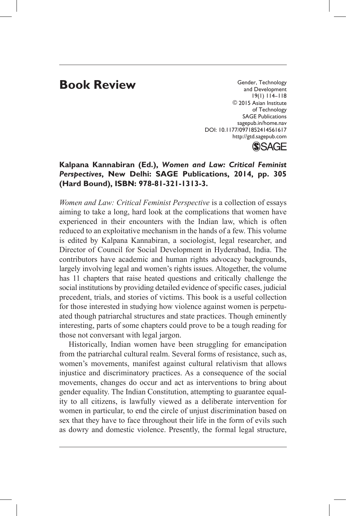## **Book Review**

Gender, Technology and Development 19(1) 114–118 ©2015 Asian Institute of Technology SAGE Publications sagepub.in/home.nav DOI: 10.1177/0971852414561617 http://gtd.sagepub.com



## **Kalpana Kannabiran (Ed.),** *Women and Law: Critical Feminist Perspectives***, New Delhi: SAGE Publications, 2014, pp. 305 (Hard Bound), ISBN: 978-81-321-1313-3.**

*Women and Law: Critical Feminist Perspective* is a collection of essays aiming to take a long, hard look at the complications that women have experienced in their encounters with the Indian law, which is often reduced to an exploitative mechanism in the hands of a few. This volume is edited by Kalpana Kannabiran, a sociologist, legal researcher, and Director of Council for Social Development in Hyderabad, India. The contributors have academic and human rights advocacy backgrounds, largely involving legal and women's rights issues. Altogether, the volume has 11 chapters that raise heated questions and critically challenge the social institutions by providing detailed evidence of specific cases, judicial precedent, trials, and stories of victims. This book is a useful collection for those interested in studying how violence against women is perpetuated though patriarchal structures and state practices. Though eminently interesting, parts of some chapters could prove to be a tough reading for those not conversant with legal jargon.

Historically, Indian women have been struggling for emancipation from the patriarchal cultural realm. Several forms of resistance, such as, women's movements, manifest against cultural relativism that allows injustice and discriminatory practices. As a consequence of the social movements, changes do occur and act as interventions to bring about gender equality. The Indian Constitution, attempting to guarantee equality to all citizens, is lawfully viewed as a deliberate intervention for women in particular, to end the circle of unjust discrimination based on sex that they have to face throughout their life in the form of evils such as dowry and domestic violence. Presently, the formal legal structure,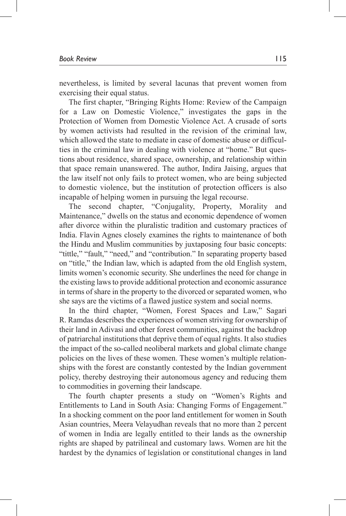nevertheless, is limited by several lacunas that prevent women from exercising their equal status.

The first chapter, "Bringing Rights Home: Review of the Campaign for a Law on Domestic Violence," investigates the gaps in the Protection of Women from Domestic Violence Act. A crusade of sorts by women activists had resulted in the revision of the criminal law, which allowed the state to mediate in case of domestic abuse or difficulties in the criminal law in dealing with violence at "home." But questions about residence, shared space, ownership, and relationship within that space remain unanswered. The author, Indira Jaising, argues that the law itself not only fails to protect women, who are being subjected to domestic violence, but the institution of protection officers is also incapable of helping women in pursuing the legal recourse.

The second chapter, "Conjugality, Property, Morality and Maintenance," dwells on the status and economic dependence of women after divorce within the pluralistic tradition and customary practices of India. Flavin Agnes closely examines the rights to maintenance of both the Hindu and Muslim communities by juxtaposing four basic concepts: "tittle," "fault," "need," and "contribution." In separating property based on "title," the Indian law, which is adapted from the old English system, limits women's economic security. She underlines the need for change in the existing laws to provide additional protection and economic assurance in terms of share in the property to the divorced or separated women, who she says are the victims of a flawed justice system and social norms.

In the third chapter, "Women, Forest Spaces and Law," Sagari R. Ramdas describes the experiences of women striving for ownership of their land in Adivasi and other forest communities, against the backdrop of patriarchal institutions that deprive them of equal rights. It also studies the impact of the so-called neoliberal markets and global climate change policies on the lives of these women. These women's multiple relationships with the forest are constantly contested by the Indian government policy, thereby destroying their autonomous agency and reducing them to commodities in governing their landscape.

The fourth chapter presents a study on "Women's Rights and Entitlements to Land in South Asia: Changing Forms of Engagement." In a shocking comment on the poor land entitlement for women in South Asian countries, Meera Velayudhan reveals that no more than 2 percent of women in India are legally entitled to their lands as the ownership rights are shaped by patrilineal and customary laws. Women are hit the hardest by the dynamics of legislation or constitutional changes in land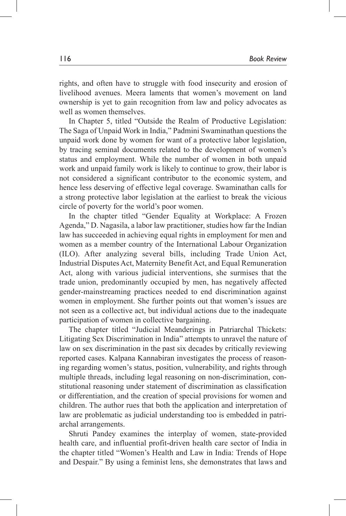rights, and often have to struggle with food insecurity and erosion of livelihood avenues. Meera laments that women's movement on land ownership is yet to gain recognition from law and policy advocates as well as women themselves.

In Chapter 5, titled "Outside the Realm of Productive Legislation: The Saga of Unpaid Work in India," Padmini Swaminathan questions the unpaid work done by women for want of a protective labor legislation, by tracing seminal documents related to the development of women's status and employment. While the number of women in both unpaid work and unpaid family work is likely to continue to grow, their labor is not considered a significant contributor to the economic system, and hence less deserving of effective legal coverage. Swaminathan calls for a strong protective labor legislation at the earliest to break the vicious circle of poverty for the world's poor women.

In the chapter titled "Gender Equality at Workplace: A Frozen Agenda," D. Nagasila, a labor law practitioner, studies how far the Indian law has succeeded in achieving equal rights in employment for men and women as a member country of the International Labour Organization (ILO). After analyzing several bills, including Trade Union Act, Industrial Disputes Act, Maternity Benefit Act, and Equal Remuneration Act, along with various judicial interventions, she surmises that the trade union, predominantly occupied by men, has negatively affected gender-mainstreaming practices needed to end discrimination against women in employment. She further points out that women's issues are not seen as a collective act, but individual actions due to the inadequate participation of women in collective bargaining.

The chapter titled "Judicial Meanderings in Patriarchal Thickets: Litigating Sex Discrimination in India" attempts to unravel the nature of law on sex discrimination in the past six decades by critically reviewing reported cases. Kalpana Kannabiran investigates the process of reasoning regarding women's status, position, vulnerability, and rights through multiple threads, including legal reasoning on non-discrimination, constitutional reasoning under statement of discrimination as classification or differentiation, and the creation of special provisions for women and children. The author rues that both the application and interpretation of law are problematic as judicial understanding too is embedded in patriarchal arrangements.

Shruti Pandey examines the interplay of women, state-provided health care, and influential profit-driven health care sector of India in the chapter titled "Women's Health and Law in India: Trends of Hope and Despair." By using a feminist lens, she demonstrates that laws and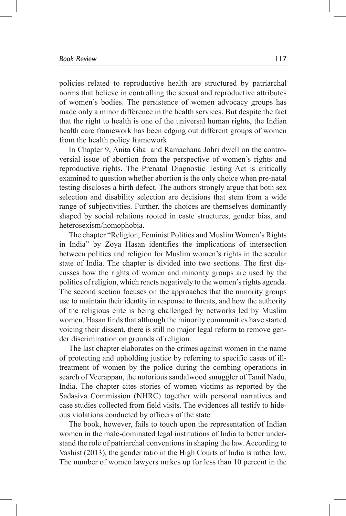policies related to reproductive health are structured by patriarchal norms that believe in controlling the sexual and reproductive attributes of women's bodies. The persistence of women advocacy groups has made only a minor difference in the health services. But despite the fact that the right to health is one of the universal human rights, the Indian health care framework has been edging out different groups of women from the health policy framework.

In Chapter 9, Anita Ghai and Ramachana Johri dwell on the controversial issue of abortion from the perspective of women's rights and reproductive rights. The Prenatal Diagnostic Testing Act is critically examined to question whether abortion is the only choice when pre-natal testing discloses a birth defect. The authors strongly argue that both sex selection and disability selection are decisions that stem from a wide range of subjectivities. Further, the choices are themselves dominantly shaped by social relations rooted in caste structures, gender bias, and heterosexism/homophobia.

The chapter "Religion, Feminist Politics and Muslim Women's Rights in India" by Zoya Hasan identifies the implications of intersection between politics and religion for Muslim women's rights in the secular state of India. The chapter is divided into two sections. The first discusses how the rights of women and minority groups are used by the politics of religion, which reacts negatively to the women's rights agenda. The second section focuses on the approaches that the minority groups use to maintain their identity in response to threats, and how the authority of the religious elite is being challenged by networks led by Muslim women. Hasan finds that although the minority communities have started voicing their dissent, there is still no major legal reform to remove gender discrimination on grounds of religion.

The last chapter elaborates on the crimes against women in the name of protecting and upholding justice by referring to specific cases of illtreatment of women by the police during the combing operations in search of Veerappan, the notorious sandalwood smuggler of Tamil Nadu, India. The chapter cites stories of women victims as reported by the Sadasiva Commission (NHRC) together with personal narratives and case studies collected from field visits. The evidences all testify to hideous violations conducted by officers of the state.

The book, however, fails to touch upon the representation of Indian women in the male-dominated legal institutions of India to better understand the role of patriarchal conventions in shaping the law. According to Vashist (2013), the gender ratio in the High Courts of India is rather low. The number of women lawyers makes up for less than 10 percent in the